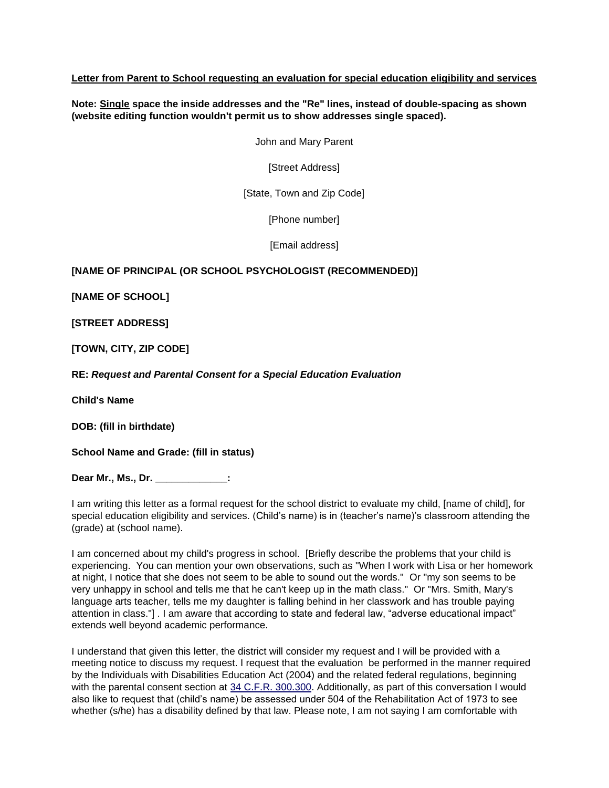## **Letter from Parent to School requesting an evaluation for special education eligibility and services**

**Note: Single space the inside addresses and the "Re" lines, instead of double-spacing as shown (website editing function wouldn't permit us to show addresses single spaced).**

John and Mary Parent

[Street Address]

[State, Town and Zip Code]

[Phone number]

[Email address]

## **[NAME OF PRINCIPAL (OR SCHOOL PSYCHOLOGIST (RECOMMENDED)]**

**[NAME OF SCHOOL]**

**[STREET ADDRESS]**

**[TOWN, CITY, ZIP CODE]**

**RE:** *Request and Parental Consent for a Special Education Evaluation*

**Child's Name**

**DOB: (fill in birthdate)**

**School Name and Grade: (fill in status)**

**Dear Mr., Ms., Dr. \_\_\_\_\_\_\_\_\_\_\_\_\_:**

I am writing this letter as a formal request for the school district to evaluate my child, [name of child], for special education eligibility and services. (Child's name) is in (teacher's name)'s classroom attending the (grade) at (school name).

I am concerned about my child's progress in school. [Briefly describe the problems that your child is experiencing. You can mention your own observations, such as "When I work with Lisa or her homework at night, I notice that she does not seem to be able to sound out the words." Or "my son seems to be very unhappy in school and tells me that he can't keep up in the math class." Or "Mrs. Smith, Mary's language arts teacher, tells me my daughter is falling behind in her classwork and has trouble paying attention in class."] . I am aware that according to state and federal law, "adverse educational impact" extends well beyond academic performance.

I understand that given this letter, the district will consider my request and I will be provided with a meeting notice to discuss my request. I request that the evaluation be performed in the manner required by the Individuals with Disabilities Education Act (2004) and the related federal regulations, beginning with the parental consent section at [34 C.F.R. 300.300.](http://idea.ed.gov/explore/view/p/%2Croot%2Cregs%2C300%2CD%2C300%252E300%2C) Additionally, as part of this conversation I would also like to request that (child's name) be assessed under 504 of the Rehabilitation Act of 1973 to see whether (s/he) has a disability defined by that law. Please note, I am not saying I am comfortable with